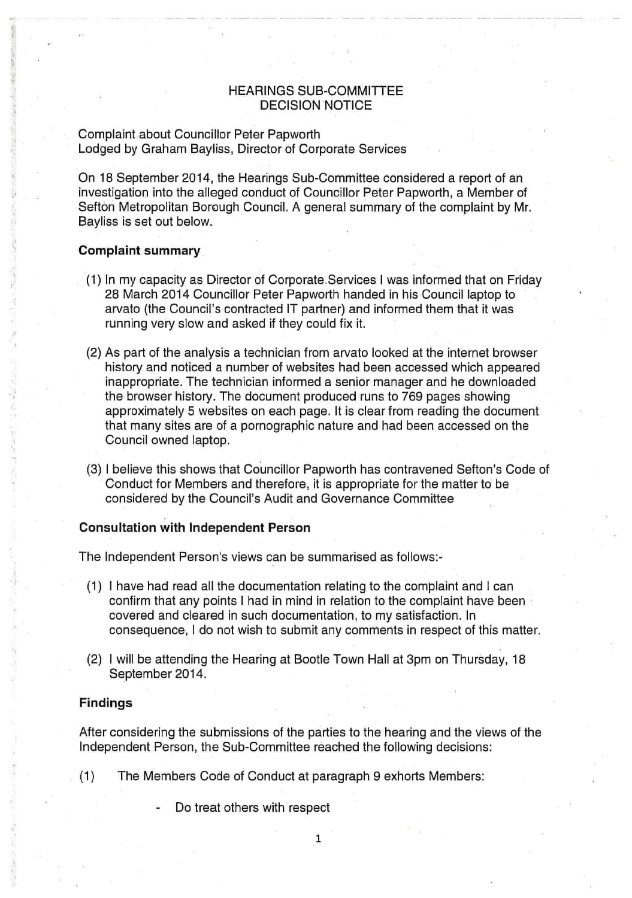# HEARINGS SUB-COMMITTEE DECISION NOTICE

# Complaint about Councillor Peter Papworth Lodged by Graham Bayliss, Director of Corporate Services

On 18 September 2014, the Hearings Sub-Committee considered a report of an investigation into the alleged conduct of Councillor Peter Papworth, a Member of Sefton Metropolitan Borough Council. A general summary of the complaint by Mr. Bayliss is set out below.

### **Complaint summary**

- (1) In my capacity as Director of Corporate Services **I** was informed that on Friday 28 March 2014 Councillor Peter Papworth handed in his Council laptop to arvato (the Council's contracted IT partner) and informed them that it was running very slow and asked if they could fix it.
- (2) As part of the analysis a technician from arvato looked at the internet browser history and noticed a number of websites had been accessed which appeared inappropriate. The technician informed a senior manager and he downloaded the browser history. The document produced runs to 769 pages showing approximately 5 websites on each page. It is clear from reading the document that many sites are of a pornographic nature and had been accessed on the Council owned laptop.
- (3) I believe this shows that Councillor Papworth has contravened Sefton's Code of Conduct for Members and therefore, it is appropriate for the matter to be considered by the Council's Audit and Governance Committee

### **Consultation with Independent Person**

The Independent Person's views can be summarised as follows:-

- (1) I have had read all the documentation relating to the complaint and I can confirm that any points I had in mind in relation to the complaint have been covered and cleared in such documentation, to my satisfaction. In consequence, I do not wish to submit any comments in respect of this matter.
- (2) I will be attending the Hearing at Bootle Town Hall at 3pm on Thursday, 18 September 2014.

### **Findings**

After considering the submissions of the parties to the hearing and the views of the Independent Person, the Sub-Committee reached the following decisions:

(1) The Members Code of Conduct at paragraph 9 exhorts Members:

Do treat others with respect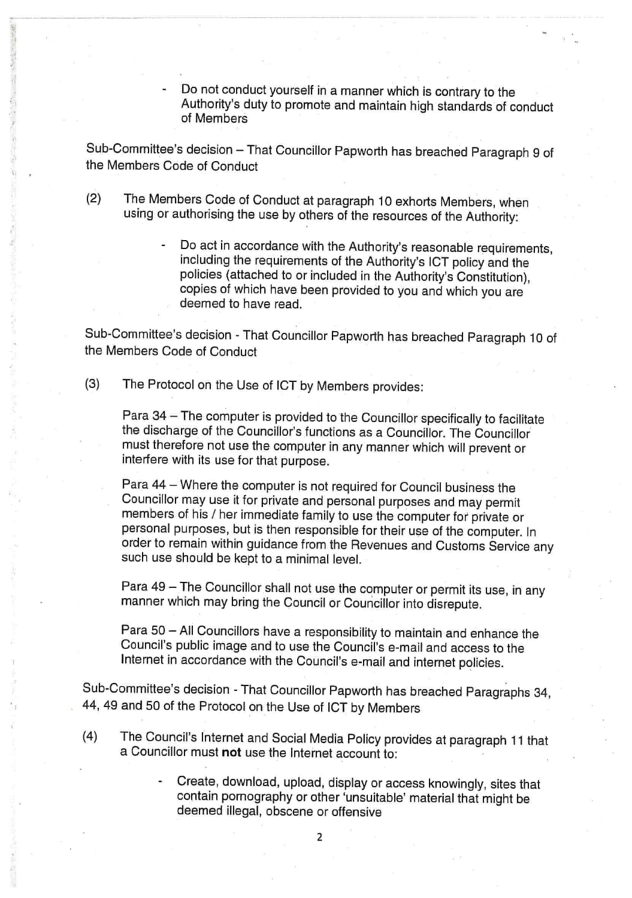Do not conduct yourself in a manner which is contrary to the Authority's duty to promote and maintain high standards of conduct of Members

Sub-Committee's decision — That Councillor Papworth has breached Paragraph 9 of the Members Code of Conduct

- (2) The Members Code of Conduct at paragraph 10 exhorts Members, when using or authorising the use by others of the resources of the Authority:
	- Do act in accordance with the Authority's reasonable requirements, including the requirements of the Authority's ICT policy and the policies (attached to or included in the Authority's Constitution), copies of which have been provided to you and which you are deemed to have read.

Sub-Committee's decision - That Councillor Papworth has breached Paragraph 10 of the Members Code of Conduct

(3) The Protocol on the Use of ICT by Members provides:

Para 34 — The computer is provided to the Councillor specifically to facilitate the discharge of the Councillor's functions as a Councillor. The Councillor must therefore not use the computer in any manner which will prevent or interfere with its use for that purpose.

Para 44 — Where the computer is not required for Council business the Councillor may use it for private and personal purposes and may permit members of his / her immediate family to use the computer for private or personal purposes, but is then responsible for their use of the computer. In order to remain within guidance from the Revenues and Customs Service any such use should be kept to a minimal level.

Para 49 — The Councillor shall not use the computer or permit its use, in any manner which may bring the Council or Councillor into disrepute.

Para 50 — All Councillors have a responsibility to maintain and enhance the Council's public image and to use the Council's e-mail and access to the Internet in accordance with the Council's e-mail and internet policies.

Sub-Committee's decision - That Councillor Papworth has breached Paragraphs 34, 44, 49 and 50 of the Protocol on the Use of ICT by Members

- (4) The Council's Internet and Social Media Policy provides at paragraph 11 that a Councillor must **not** use the Internet account to:
	- Create, download, upload, display or access knowingly, sites that contain pornography or other 'unsuitable' material that might be deemed illegal, obscene or offensive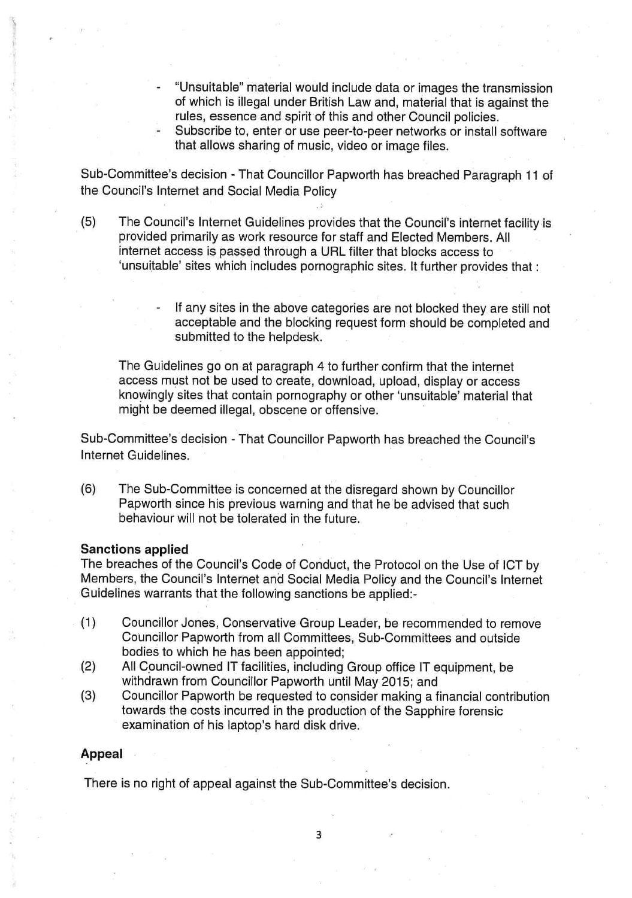- "Unsuitable" material would include data or images the transmission of which is illegal under British Law and, material that is against the rules, essence and spirit of this and other Council policies.
- Subscribe to, enter or use peer-to-peer networks or install software that allows sharing of music, video or image files.

Sub-Committee's decision - That Councillor Papworth has breached Paragraph 11 of the Council's Internet and Social Media Policy

- (5) The Council's Internet Guidelines provides that the Council's internet facility is provided primarily as work resource for staff and Elected Members. All internet access is passed through a URL filter that blocks access to 'unsuitable' sites which includes pornographic sites. It further provides that :
	- If any sites in the above categories are not blocked they are still not acceptable and the blocking request form should be completed and submitted to the helpdesk.

The Guidelines go on at paragraph 4 to further confirm that the internet access must not be used to create, download, upload, display or access knowingly sites that contain pornography or other 'unsuitable' material that might be deemed illegal, obscene or offensive.

Sub-Committee's decision - That Councillor Papworth has breached the Council's Internet Guidelines.

(6) The Sub-Committee is concerned at the disregard shown by Councillor Papworth since his previous warning and that he be advised that such behaviour will not be tolerated in the future.

#### **Sanctions applied**

The breaches of the Council's Code of Conduct, the Protocol on the Use of ICT by Members, the Council's Internet and Social Media Policy and the Council's Internet Guidelines warrants that the following sanctions be applied:-

- (1) Councillor Jones, Conservative Group Leader, be recommended to remove Councillor Papworth from all Committees, Sub-Committees and outside bodies to which he has been appointed;
- (2) All Council-owned IT facilities, including Group office IT equipment, be withdrawn from Councillor Papworth until May 2015; and
- (3) Councillor Papworth be requested to consider making a financial contribution towards the costs incurred in the production of the Sapphire forensic examination of his laptop's hard disk drive.

#### **Appeal**

There is no right of appeal against the Sub-Committee's decision.

3